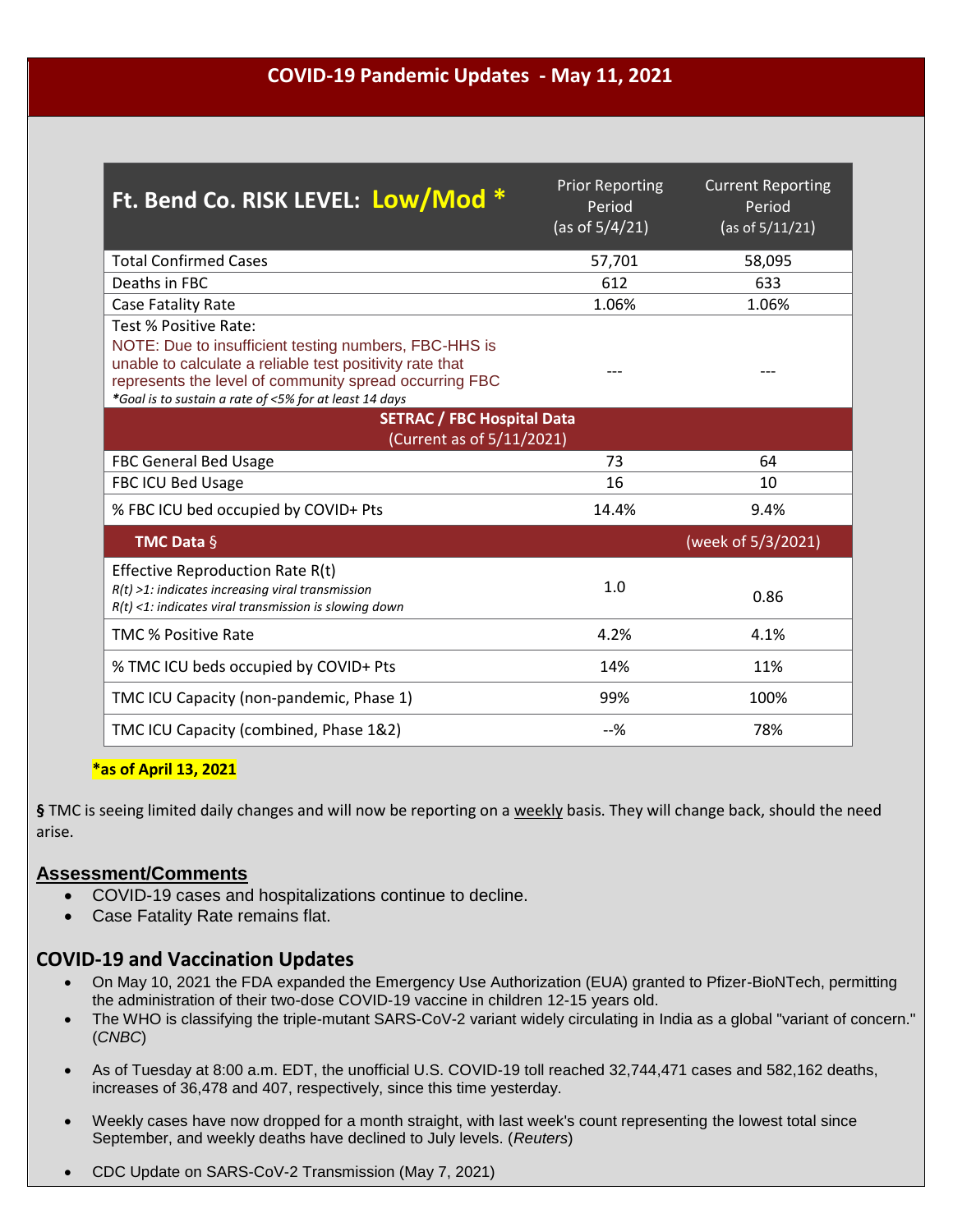### **COVID-19 Pandemic Updates - May 11, 2021**

| Ft. Bend Co. RISK LEVEL: Low/Mod *                                                                                                                                                                                                                             | <b>Prior Reporting</b><br>Period<br>(as of $5/4/21$ ) | <b>Current Reporting</b><br>Period<br>(as of 5/11/21) |
|----------------------------------------------------------------------------------------------------------------------------------------------------------------------------------------------------------------------------------------------------------------|-------------------------------------------------------|-------------------------------------------------------|
| <b>Total Confirmed Cases</b>                                                                                                                                                                                                                                   | 57,701                                                | 58,095                                                |
| Deaths in FBC                                                                                                                                                                                                                                                  | 612                                                   | 633                                                   |
| Case Fatality Rate                                                                                                                                                                                                                                             | 1.06%                                                 | 1.06%                                                 |
| Test % Positive Rate:<br>NOTE: Due to insufficient testing numbers, FBC-HHS is<br>unable to calculate a reliable test positivity rate that<br>represents the level of community spread occurring FBC<br>*Goal is to sustain a rate of <5% for at least 14 days |                                                       |                                                       |
| <b>SETRAC / FBC Hospital Data</b><br>(Current as of 5/11/2021)                                                                                                                                                                                                 |                                                       |                                                       |
| <b>FBC General Bed Usage</b>                                                                                                                                                                                                                                   | 73                                                    | 64                                                    |
| <b>FBC ICU Bed Usage</b>                                                                                                                                                                                                                                       | 16                                                    | 10                                                    |
| % FBC ICU bed occupied by COVID+ Pts                                                                                                                                                                                                                           | 14.4%                                                 | 9.4%                                                  |
| <b>TMC Data <math>\S</math></b>                                                                                                                                                                                                                                |                                                       | (week of 5/3/2021)                                    |
| Effective Reproduction Rate R(t)<br>$R(t)$ >1: indicates increasing viral transmission<br>$R(t)$ <1: indicates viral transmission is slowing down                                                                                                              | 1.0                                                   | 0.86                                                  |
| <b>TMC % Positive Rate</b>                                                                                                                                                                                                                                     | 4.2%                                                  | 4.1%                                                  |
| % TMC ICU beds occupied by COVID+ Pts                                                                                                                                                                                                                          | 14%                                                   | 11%                                                   |
| TMC ICU Capacity (non-pandemic, Phase 1)                                                                                                                                                                                                                       | 99%                                                   | 100%                                                  |
| TMC ICU Capacity (combined, Phase 1&2)                                                                                                                                                                                                                         | $-$ %                                                 | 78%                                                   |

#### **\*as of April 13, 2021**

**§** TMC is seeing limited daily changes and will now be reporting on a weekly basis. They will change back, should the need arise.

#### **Assessment/Comments**

- COVID-19 cases and hospitalizations continue to decline.
- Case Fatality Rate remains flat.

### **COVID-19 and Vaccination Updates**

- On May 10, 2021 the FDA expanded the Emergency Use Authorization (EUA) granted to Pfizer-BioNTech, permitting the administration of their two-dose [COVID-19 vaccine](https://www.contagionlive.com/clinical/covid-vaccine-race) in children 12-15 years old.
- [The WHO is classifying](https://www.cnbc.com/2021/05/10/who-classifies-triple-mutant-covid-variant-from-india-as-global-health-risk-.html) the triple-mutant SARS-CoV-2 variant widely circulating in India as a global "variant of concern." (*CNBC*)
- As of Tuesday at 8:00 a.m. EDT, the [unofficial U.S. COVID-19 toll](https://www.medpagetoday.com/infectiousdisease/publichealth/84698) reached 32,744,471 cases and 582,162 deaths, increases of 36,478 and 407, respectively, since this time yesterday.
- Weekly cases have now dropped for a month straight, with last week's count representing [the lowest total](https://www.reuters.com/world/us/new-us-covid-weekly-cases-fall-lowest-since-september-2021-05-10/) since September, and weekly deaths have declined to July levels. (*Reuters*)
- CDC Update on SARS-CoV-2 Transmission (May 7, 2021)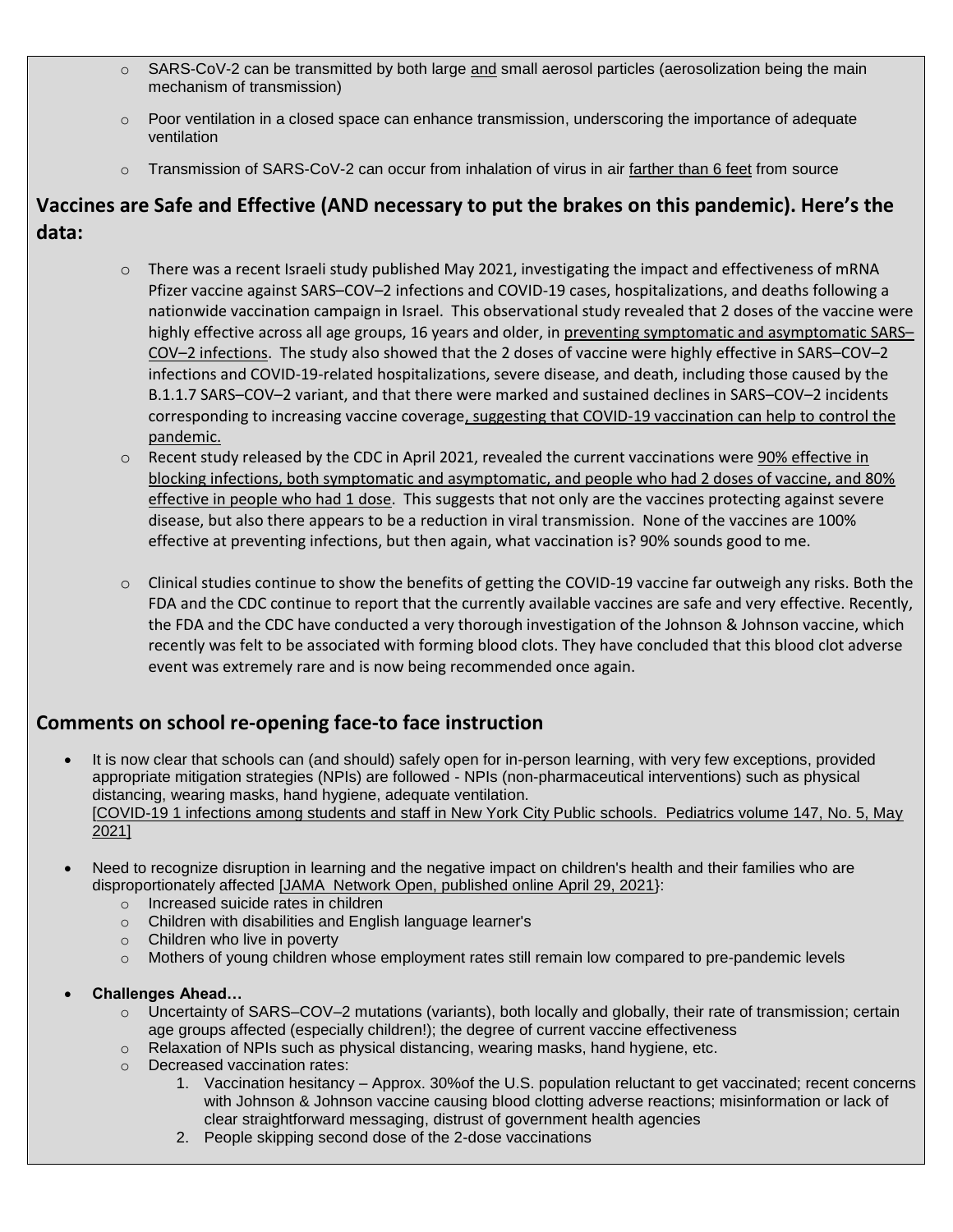- o SARS-CoV-2 can be transmitted by both large and small aerosol particles (aerosolization being the main mechanism of transmission)
- $\circ$  Poor ventilation in a closed space can enhance transmission, underscoring the importance of adequate ventilation
- $\circ$  Transmission of SARS-CoV-2 can occur from inhalation of virus in air farther than 6 feet from source

## **Vaccines are Safe and Effective (AND necessary to put the brakes on this pandemic). Here's the data:**

- $\circ$  There was a recent Israeli study published May 2021, investigating the impact and effectiveness of mRNA Pfizer vaccine against SARS–COV–2 infections and COVID-19 cases, hospitalizations, and deaths following a nationwide vaccination campaign in Israel. This observational study revealed that 2 doses of the vaccine were highly effective across all age groups, 16 years and older, in preventing symptomatic and asymptomatic SARS– COV–2 infections. The study also showed that the 2 doses of vaccine were highly effective in SARS–COV–2 infections and COVID-19-related hospitalizations, severe disease, and death, including those caused by the B.1.1.7 SARS–COV–2 variant, and that there were marked and sustained declines in SARS–COV–2 incidents corresponding to increasing vaccine coverage, suggesting that COVID-19 vaccination can help to control the pandemic.
- $\circ$  Recent study released by the CDC in April 2021, revealed the current vaccinations were 90% effective in blocking infections, both symptomatic and asymptomatic, and people who had 2 doses of vaccine, and 80% effective in people who had 1 dose. This suggests that not only are the vaccines protecting against severe disease, but also there appears to be a reduction in viral transmission. None of the vaccines are 100% effective at preventing infections, but then again, what vaccination is? 90% sounds good to me.
- $\circ$  Clinical studies continue to show the benefits of getting the COVID-19 vaccine far outweigh any risks. Both the FDA and the CDC continue to report that the currently available vaccines are safe and very effective. Recently, the FDA and the CDC have conducted a very thorough investigation of the Johnson & Johnson vaccine, which recently was felt to be associated with forming blood clots. They have concluded that this blood clot adverse event was extremely rare and is now being recommended once again.

# **Comments on school re-opening face-to face instruction**

- It is now clear that schools can (and should) safely open for in-person learning, with very few exceptions, provided appropriate mitigation strategies (NPIs) are followed - NPIs (non-pharmaceutical interventions) such as physical distancing, wearing masks, hand hygiene, adequate ventilation. [COVID-19 1 infections among students and staff in New York City Public schools. Pediatrics volume 147, No. 5, May 2021]
- Need to recognize disruption in learning and the negative impact on children's health and their families who are disproportionately affected [JAMA Network Open, published online April 29, 2021}:
	- o Increased suicide rates in children
	- o Children with disabilities and English language learner's
	- o Children who live in poverty
	- o Mothers of young children whose employment rates still remain low compared to pre-pandemic levels
- **Challenges Ahead…**
	- $\circ$  Uncertainty of SARS–COV–2 mutations (variants), both locally and globally, their rate of transmission; certain age groups affected (especially children!); the degree of current vaccine effectiveness
	- $\circ$  Relaxation of NPIs such as physical distancing, wearing masks, hand hygiene, etc.
	- o Decreased vaccination rates:
		- 1. Vaccination hesitancy Approx. 30%of the U.S. population reluctant to get vaccinated; recent concerns with Johnson & Johnson vaccine causing blood clotting adverse reactions; misinformation or lack of clear straightforward messaging, distrust of government health agencies
		- 2. People skipping second dose of the 2-dose vaccinations